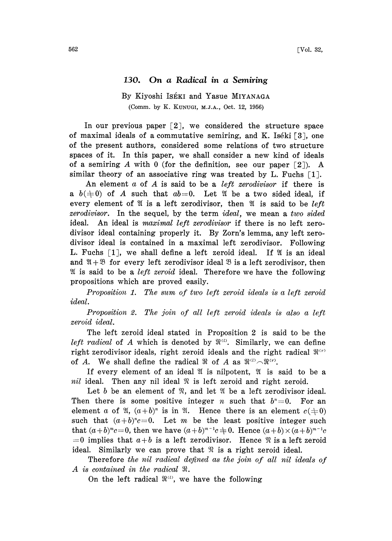## 130. On a Radical in a Semiring

## By Kiyoshi Iséki and Yasue MIYANAGA (Comm. by K. KUNUG, M.J.A., Oct. 12, 1956)

In our previous paper  $\lceil 2 \rceil$ , we considered the structure space of maximal ideals of a commutative semiring, and K. Iséki [3], one of the present authors, considered some relations of two structure spaces of it. In this paper, we shall consider a new kind of ideals of a semiring A with 0 (for the definition, see our paper  $\lceil 2 \rceil$ ). A similar theory of an associative ring was treated by L. Fuchs  $\lceil 1 \rceil$ .

An element  $a$  of  $A$  is said to be a *left zerodivisor* if there is a  $b(\pm 0)$  of A such that  $ab=0$ . Let *II* be a two sided ideal, if every element of  $\mathfrak V$  is a left zerodivisor, then  $\mathfrak V$  is said to be *left*  $zerodivisor$ . In the sequel, by the term  $ideal$ , we mean a two sided ideal. An ideal is *maximal left zerodivisor* if there is no left zerodivisor ideal containing properly it. By Zorn's lemma, any left zerodivisor ideal is contained in a maximal left zerodivisor. Following L. Fuchs  $\lceil 1 \rceil$ , we shall define a left zeroid ideal. If  $\mathfrak A$  is an ideal and  $\mathfrak{A} + \mathfrak{B}$  for every left zerodivisor ideal  $\mathfrak{B}$  is a left zerodivisor, then  $\mathfrak A$  is said to be a *left zeroid* ideal. Therefore we have the following propositions which are proved easily.

Proposition 1. The sum of two left zeroid ideals is a left zeroid ideal.

Proposition 2. The join of all left zeroid ideals is also a left zeroid ideal.

The left zeroid ideal stated in Proposition 2 is said to be the left radical of A which is denoted by  $\mathbb{R}^{d}$ . Similarly, we can define right zerodivisor ideals, right zeroid ideals and the right radical  $\mathfrak{R}^{(r)}$ of A. We shall define the radical  $\Re$  of A as  $\Re^{(1)} \cap \Re^{(r)}$ .

If every element of an ideal  $\mathfrak A$  is nilpotent,  $\mathfrak A$  is said to be a nil ideal. Then any nil ideal  $\Re$  is left zeroid and right zeroid.

Let  $b$  be an element of  $\mathfrak{R}$ , and let  $\mathfrak{A}$  be a left zerodivisor ideal. Then there is some positive integer *n* such that  $b^n=0$ . For an element a of  $\mathfrak{A}, (a+b)^n$  is in  $\mathfrak{A}$ . Hence there is an element  $c(\pm 0)$ such that  $(a+b)^n c=0$ . Let m be the least positive integer such that  $(a+b)^{m}c=0$ , then we have  $(a+b)^{m-1}c\neq 0$ . Hence  $(a+b)\times (a+b)^{m-1}c$  $=0$  implies that  $a+b$  is a left zerodivisor. Hence  $\Re$  is a left zeroid ideal. Similarly we can prove that  $\mathfrak{R}$  is a right zeroid ideal.

Therefore the nil radical defined as the join of all nil ideals of A is contained in the radical  $\Re$ .

On the left radical  $\mathbb{R}^{n}$ , we have the following